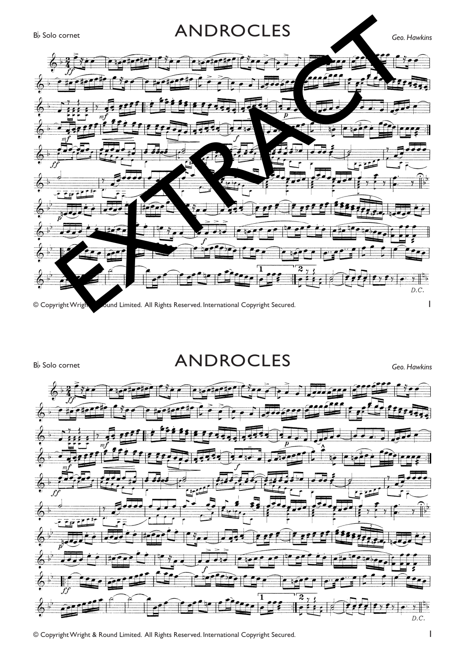